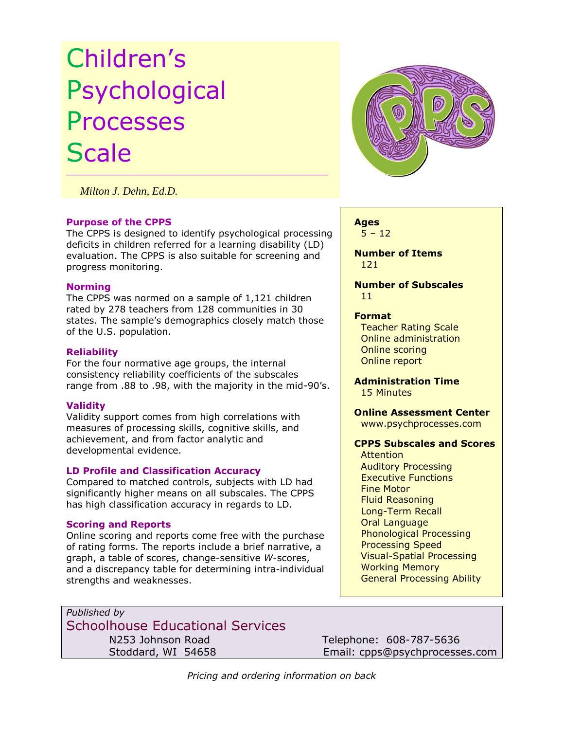# Children's Psychological Processes **Scale**

 *Milton J. Dehn, Ed.D.*

#### **Purpose of the CPPS**

The CPPS is designed to identify psychological processing deficits in children referred for a learning disability (LD) evaluation. The CPPS is also suitable for screening and progress monitoring.

 $\mathcal{L}_\mathcal{L}$  , and the set of the set of the set of the set of the set of the set of the set of the set of the set of the set of the set of the set of the set of the set of the set of the set of the set of the set of th

#### **Norming**

The CPPS was normed on a sample of 1,121 children rated by 278 teachers from 128 communities in 30 states. The sample's demographics closely match those of the U.S. population.

## **Reliability**

For the four normative age groups, the internal consistency reliability coefficients of the subscales range from .88 to .98, with the majority in the mid-90's.

## **Validity**

Validity support comes from high correlations with measures of processing skills, cognitive skills, and achievement, and from factor analytic and developmental evidence.

## **LD Profile and Classification Accuracy**

Compared to matched controls, subjects with LD had significantly higher means on all subscales. The CPPS has high classification accuracy in regards to LD.

## **Scoring and Reports**

Online scoring and reports come free with the purchase of rating forms. The reports include a brief narrative, a graph, a table of scores, change-sensitive *W*-scores, and a discrepancy table for determining intra-individual strengths and weaknesses.



#### **Ages**  $5 - 12$

 **Number of Items** 121

 **Number of Subscales** 11

#### **Format**

 Teacher Rating Scale Online administration Online scoring Online report

#### **Administration Time** 15 Minutes

 **Online Assessment Center** [www.psychprocesses.com](http://www.psychprocesses.com/)

# **CPPS Subscales and Scores**

**Attention**  Auditory Processing Executive Functions Fine Motor Fluid Reasoning Long-Term Recall Oral Language Phonological Processing Processing Speed Visual-Spatial Processing Working Memory General Processing Ability

*Published by* Schoolhouse Educational Services N253 Johnson Road Telephone: 608-787-5636

Stoddard, WI 54658 Email: cpps@psychprocesses.com

*Pricing and ordering information on back*